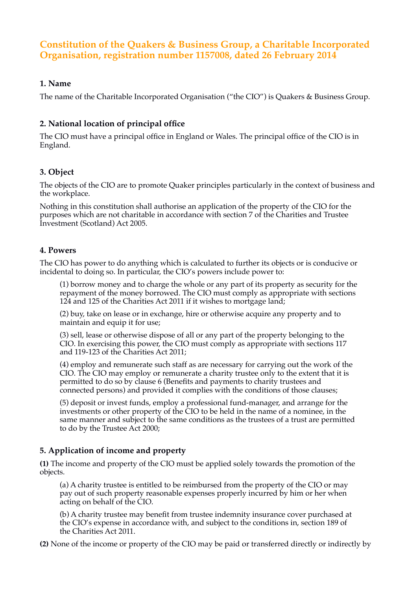# **Constitution of the Quakers & Business Group, a Charitable Incorporated Organisation, registration number 1157008, dated 26 February 2014**

# **1. Name**

The name of the Charitable Incorporated Organisation ("the CIO") is Quakers & Business Group.

# **2. National location of principal offce**

The CIO must have a principal office in England or Wales. The principal office of the CIO is in England.

# **3. Object**

The objects of the CIO are to promote Quaker principles particularly in the context of business and the workplace.

Nothing in this constitution shall authorise an application of the property of the CIO for the purposes which are not charitable in accordance with section 7 of the Charities and Trustee Investment (Scotland) Act 2005.

## **4. Powers**

The CIO has power to do anything which is calculated to further its objects or is conducive or incidental to doing so. In particular, the CIO's powers include power to:

(1) borrow money and to charge the whole or any part of its property as security for the repayment of the money borrowed. The CIO must comply as appropriate with sections 124 and 125 of the Charities Act 2011 if it wishes to mortgage land;

(2) buy, take on lease or in exchange, hire or otherwise acquire any property and to maintain and equip it for use;

(3) sell, lease or otherwise dispose of all or any part of the property belonging to the CIO. In exercising this power, the CIO must comply as appropriate with sections 117 and 119-123 of the Charities Act 2011;

(4) employ and remunerate such staff as are necessary for carrying out the work of the CIO. The CIO may employ or remunerate a charity trustee only to the extent that it is permitted to do so by clause 6 (Benefts and payments to charity trustees and connected persons) and provided it complies with the conditions of those clauses;

(5) deposit or invest funds, employ a professional fund-manager, and arrange for the investments or other property of the CIO to be held in the name of a nominee, in the same manner and subject to the same conditions as the trustees of a trust are permitted to do by the Trustee Act 2000;

# **5. Application of income and property**

**(1)** The income and property of the CIO must be applied solely towards the promotion of the objects.

(a) A charity trustee is entitled to be reimbursed from the property of the CIO or may pay out of such property reasonable expenses properly incurred by him or her when acting on behalf of the CIO.

(b) A charity trustee may beneft from trustee indemnity insurance cover purchased at the CIO's expense in accordance with, and subject to the conditions in, section 189 of the Charities Act 2011.

**(2)** None of the income or property of the CIO may be paid or transferred directly or indirectly by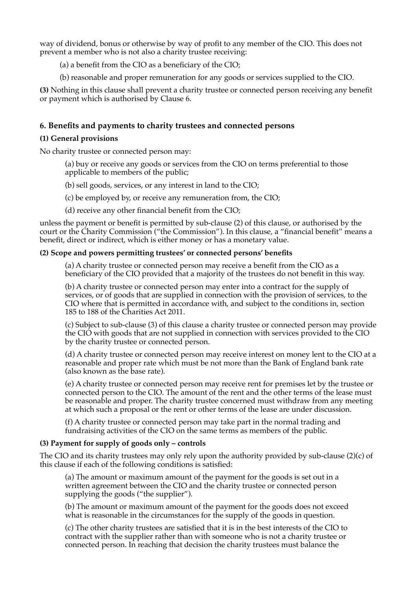way of dividend, bonus or otherwise by way of proft to any member of the CIO. This does not prevent a member who is not also a charity trustee receiving:

(a) a benefit from the CIO as a beneficiary of the CIO;

(b) reasonable and proper remuneration for any goods or services supplied to the CIO.

**(3)** Nothing in this clause shall prevent a charity trustee or connected person receiving any beneft or payment which is authorised by Clause 6.

## **6. Benefts and payments to charity trustees and connected persons**

### **(1) General provisions**

No charity trustee or connected person may:

(a) buy or receive any goods or services from the CIO on terms preferential to those applicable to members of the public;

(b) sell goods, services, or any interest in land to the CIO;

(c) be employed by, or receive any remuneration from, the CIO;

(d) receive any other fnancial beneft from the CIO;

unless the payment or beneft is permitted by sub-clause (2) of this clause, or authorised by the court or the Charity Commission ("the Commission"). In this clause, a "fnancial beneft" means a beneft, direct or indirect, which is either money or has a monetary value.

#### **(2) Scope and powers permitting trustees' or connected persons' benefts**

(a) A charity trustee or connected person may receive a beneft from the CIO as a beneficiary of the CIO provided that a majority of the trustees do not benefit in this way.

(b) A charity trustee or connected person may enter into a contract for the supply of services, or of goods that are supplied in connection with the provision of services, to the CIO where that is permitted in accordance with, and subject to the conditions in, section 185 to 188 of the Charities Act 2011.

(c) Subject to sub-clause (3) of this clause a charity trustee or connected person may provide the CIO with goods that are not supplied in connection with services provided to the CIO by the charity trustee or connected person.

(d) A charity trustee or connected person may receive interest on money lent to the CIO at a reasonable and proper rate which must be not more than the Bank of England bank rate (also known as the base rate).

(e) A charity trustee or connected person may receive rent for premises let by the trustee or connected person to the CIO. The amount of the rent and the other terms of the lease must be reasonable and proper. The charity trustee concerned must withdraw from any meeting at which such a proposal or the rent or other terms of the lease are under discussion.

(f) A charity trustee or connected person may take part in the normal trading and fundraising activities of the CIO on the same terms as members of the public.

#### **(3) Payment for supply of goods only – controls**

The CIO and its charity trustees may only rely upon the authority provided by sub-clause (2)(c) of this clause if each of the following conditions is satisfed:

(a) The amount or maximum amount of the payment for the goods is set out in a written agreement between the CIO and the charity trustee or connected person supplying the goods ("the supplier").

(b) The amount or maximum amount of the payment for the goods does not exceed what is reasonable in the circumstances for the supply of the goods in question.

(c) The other charity trustees are satisfed that it is in the best interests of the CIO to contract with the supplier rather than with someone who is not a charity trustee or connected person. In reaching that decision the charity trustees must balance the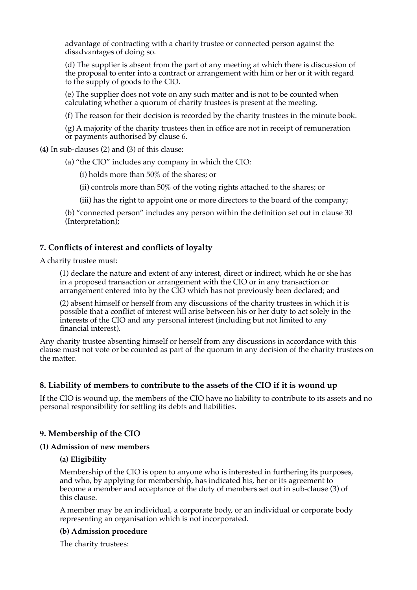advantage of contracting with a charity trustee or connected person against the disadvantages of doing so.

(d) The supplier is absent from the part of any meeting at which there is discussion of the proposal to enter into a contract or arrangement with him or her or it with regard to the supply of goods to the CIO.

(e) The supplier does not vote on any such matter and is not to be counted when calculating whether a quorum of charity trustees is present at the meeting.

(f) The reason for their decision is recorded by the charity trustees in the minute book.

 $(g)$  A majority of the charity trustees then in office are not in receipt of remuneration or payments authorised by clause 6.

**(4)** In sub-clauses (2) and (3) of this clause:

(a) "the CIO" includes any company in which the CIO:

(i) holds more than 50% of the shares; or

(ii) controls more than 50% of the voting rights attached to the shares; or

(iii) has the right to appoint one or more directors to the board of the company;

(b) "connected person" includes any person within the defnition set out in clause 30 (Interpretation);

### **7. Conficts of interest and conficts of loyalty**

A charity trustee must:

(1) declare the nature and extent of any interest, direct or indirect, which he or she has in a proposed transaction or arrangement with the CIO or in any transaction or arrangement entered into by the CIO which has not previously been declared; and

(2) absent himself or herself from any discussions of the charity trustees in which it is possible that a confict of interest will arise between his or her duty to act solely in the interests of the CIO and any personal interest (including but not limited to any fnancial interest).

Any charity trustee absenting himself or herself from any discussions in accordance with this clause must not vote or be counted as part of the quorum in any decision of the charity trustees on the matter.

#### **8. Liability of members to contribute to the assets of the CIO if it is wound up**

If the CIO is wound up, the members of the CIO have no liability to contribute to its assets and no personal responsibility for settling its debts and liabilities.

### **9. Membership of the CIO**

### **(1) Admission of new members**

#### **(a) Eligibility**

Membership of the CIO is open to anyone who is interested in furthering its purposes, and who, by applying for membership, has indicated his, her or its agreement to become a member and acceptance of the duty of members set out in sub-clause (3) of this clause.

A member may be an individual, a corporate body, or an individual or corporate body representing an organisation which is not incorporated.

#### **(b) Admission procedure**

The charity trustees: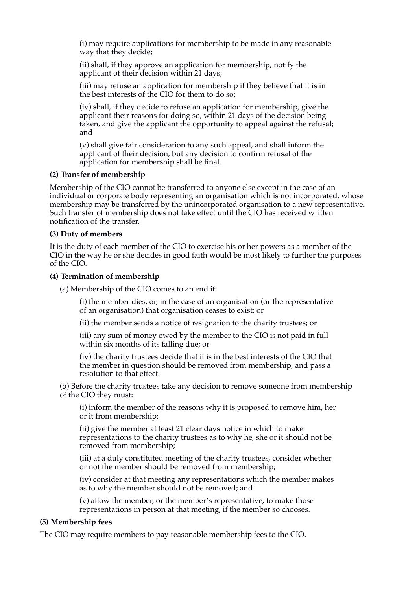(i) may require applications for membership to be made in any reasonable way that they decide;

(ii) shall, if they approve an application for membership, notify the applicant of their decision within 21 days;

(iii) may refuse an application for membership if they believe that it is in the best interests of the CIO for them to do so;

(iv) shall, if they decide to refuse an application for membership, give the applicant their reasons for doing so, within 21 days of the decision being taken, and give the applicant the opportunity to appeal against the refusal; and

(v) shall give fair consideration to any such appeal, and shall inform the applicant of their decision, but any decision to confrm refusal of the application for membership shall be fnal.

#### **(2) Transfer of membership**

Membership of the CIO cannot be transferred to anyone else except in the case of an individual or corporate body representing an organisation which is not incorporated, whose membership may be transferred by the unincorporated organisation to a new representative. Such transfer of membership does not take effect until the CIO has received written notifcation of the transfer.

#### **(3) Duty of members**

It is the duty of each member of the CIO to exercise his or her powers as a member of the CIO in the way he or she decides in good faith would be most likely to further the purposes of the CIO.

#### **(4) Termination of membership**

(a) Membership of the CIO comes to an end if:

(i) the member dies, or, in the case of an organisation (or the representative of an organisation) that organisation ceases to exist; or

(ii) the member sends a notice of resignation to the charity trustees; or

(iii) any sum of money owed by the member to the CIO is not paid in full within six months of its falling due; or

(iv) the charity trustees decide that it is in the best interests of the CIO that the member in question should be removed from membership, and pass a resolution to that effect.

(b) Before the charity trustees take any decision to remove someone from membership of the CIO they must:

(i) inform the member of the reasons why it is proposed to remove him, her or it from membership;

(ii) give the member at least 21 clear days notice in which to make representations to the charity trustees as to why he, she or it should not be removed from membership;

(iii) at a duly constituted meeting of the charity trustees, consider whether or not the member should be removed from membership;

(iv) consider at that meeting any representations which the member makes as to why the member should not be removed; and

(v) allow the member, or the member's representative, to make those representations in person at that meeting, if the member so chooses.

#### **(5) Membership fees**

The CIO may require members to pay reasonable membership fees to the CIO.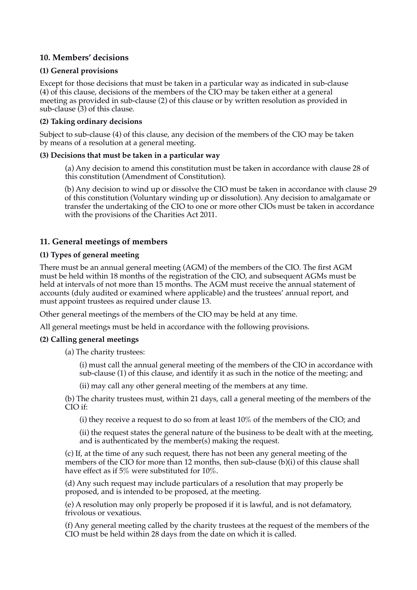## **10. Members' decisions**

### **(1) General provisions**

Except for those decisions that must be taken in a particular way as indicated in sub-clause (4) of this clause, decisions of the members of the CIO may be taken either at a general meeting as provided in sub-clause (2) of this clause or by written resolution as provided in sub-clause (3) of this clause.

#### **(2) Taking ordinary decisions**

Subject to sub-clause (4) of this clause, any decision of the members of the CIO may be taken by means of a resolution at a general meeting.

#### **(3) Decisions that must be taken in a particular way**

(a) Any decision to amend this constitution must be taken in accordance with clause 28 of this constitution (Amendment of Constitution).

(b) Any decision to wind up or dissolve the CIO must be taken in accordance with clause 29 of this constitution (Voluntary winding up or dissolution). Any decision to amalgamate or transfer the undertaking of the CIO to one or more other CIOs must be taken in accordance with the provisions of the Charities Act 2011.

## **11. General meetings of members**

### **(1) Types of general meeting**

There must be an annual general meeting (AGM) of the members of the CIO. The frst AGM must be held within 18 months of the registration of the CIO, and subsequent AGMs must be held at intervals of not more than 15 months. The AGM must receive the annual statement of accounts (duly audited or examined where applicable) and the trustees' annual report, and must appoint trustees as required under clause 13.

Other general meetings of the members of the CIO may be held at any time.

All general meetings must be held in accordance with the following provisions.

## **(2) Calling general meetings**

(a) The charity trustees:

(i) must call the annual general meeting of the members of the CIO in accordance with sub-clause (1) of this clause, and identify it as such in the notice of the meeting; and

(ii) may call any other general meeting of the members at any time.

(b) The charity trustees must, within 21 days, call a general meeting of the members of the CIO if:

(i) they receive a request to do so from at least  $10\%$  of the members of the CIO; and

(ii) the request states the general nature of the business to be dealt with at the meeting, and is authenticated by the member(s) making the request.

(c) If, at the time of any such request, there has not been any general meeting of the members of the CIO for more than 12 months, then sub-clause (b)(i) of this clause shall have effect as if 5% were substituted for 10%.

(d) Any such request may include particulars of a resolution that may properly be proposed, and is intended to be proposed, at the meeting.

(e) A resolution may only properly be proposed if it is lawful, and is not defamatory, frivolous or vexatious.

(f) Any general meeting called by the charity trustees at the request of the members of the CIO must be held within 28 days from the date on which it is called.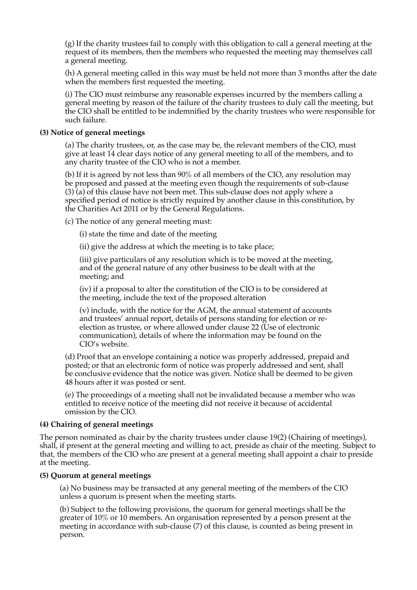(g) If the charity trustees fail to comply with this obligation to call a general meeting at the request of its members, then the members who requested the meeting may themselves call a general meeting.

(h) A general meeting called in this way must be held not more than 3 months after the date when the members first requested the meeting.

(i) The CIO must reimburse any reasonable expenses incurred by the members calling a general meeting by reason of the failure of the charity trustees to duly call the meeting, but the CIO shall be entitled to be indemnifed by the charity trustees who were responsible for such failure.

#### **(3) Notice of general meetings**

(a) The charity trustees, or, as the case may be, the relevant members of the CIO, must give at least 14 clear days notice of any general meeting to all of the members, and to any charity trustee of the CIO who is not a member.

(b) If it is agreed by not less than 90% of all members of the CIO, any resolution may be proposed and passed at the meeting even though the requirements of sub-clause  $(3)$  (a) of this clause have not been met. This sub-clause does not apply where a specifed period of notice is strictly required by another clause in this constitution, by the Charities Act 2011 or by the General Regulations.

(c) The notice of any general meeting must:

(i) state the time and date of the meeting

(ii) give the address at which the meeting is to take place;

(iii) give particulars of any resolution which is to be moved at the meeting, and of the general nature of any other business to be dealt with at the meeting; and

(iv) if a proposal to alter the constitution of the CIO is to be considered at the meeting, include the text of the proposed alteration

(v) include, with the notice for the AGM, the annual statement of accounts and trustees' annual report, details of persons standing for election or reelection as trustee, or where allowed under clause 22 (Use of electronic communication), details of where the information may be found on the CIO's website.

(d) Proof that an envelope containing a notice was properly addressed, prepaid and posted; or that an electronic form of notice was properly addressed and sent, shall be conclusive evidence that the notice was given. Notice shall be deemed to be given 48 hours after it was posted or sent.

(e) The proceedings of a meeting shall not be invalidated because a member who was entitled to receive notice of the meeting did not receive it because of accidental omission by the CIO.

#### **(4) Chairing of general meetings**

The person nominated as chair by the charity trustees under clause 19(2) (Chairing of meetings), shall, if present at the general meeting and willing to act, preside as chair of the meeting. Subject to that, the members of the CIO who are present at a general meeting shall appoint a chair to preside at the meeting.

#### **(5) Quorum at general meetings**

(a) No business may be transacted at any general meeting of the members of the CIO unless a quorum is present when the meeting starts.

(b) Subject to the following provisions, the quorum for general meetings shall be the greater of 10% or 10 members. An organisation represented by a person present at the meeting in accordance with sub-clause (7) of this clause, is counted as being present in person.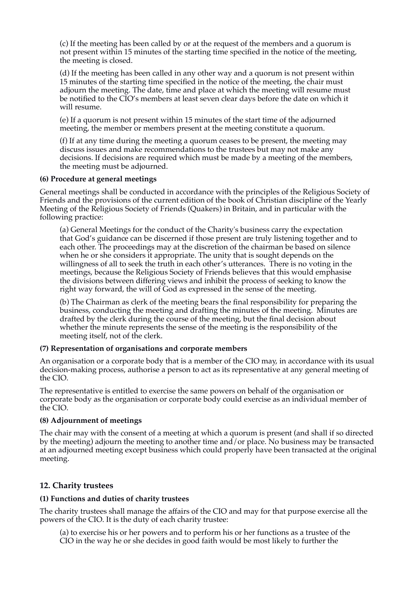(c) If the meeting has been called by or at the request of the members and a quorum is not present within 15 minutes of the starting time specifed in the notice of the meeting, the meeting is closed.

(d) If the meeting has been called in any other way and a quorum is not present within 15 minutes of the starting time specifed in the notice of the meeting, the chair must adjourn the meeting. The date, time and place at which the meeting will resume must be notifed to the CIO's members at least seven clear days before the date on which it will resume.

(e) If a quorum is not present within 15 minutes of the start time of the adjourned meeting, the member or members present at the meeting constitute a quorum.

(f) If at any time during the meeting a quorum ceases to be present, the meeting may discuss issues and make recommendations to the trustees but may not make any decisions. If decisions are required which must be made by a meeting of the members, the meeting must be adjourned.

#### **(6) Procedure at general meetings**

General meetings shall be conducted in accordance with the principles of the Religious Society of Friends and the provisions of the current edition of the book of Christian discipline of the Yearly Meeting of the Religious Society of Friends (Quakers) in Britain, and in particular with the following practice:

(a) General Meetings for the conduct of the Charity's business carry the expectation that God's guidance can be discerned if those present are truly listening together and to each other. The proceedings may at the discretion of the chairman be based on silence when he or she considers it appropriate. The unity that is sought depends on the willingness of all to seek the truth in each other's utterances. There is no voting in the meetings, because the Religious Society of Friends believes that this would emphasise the divisions between differing views and inhibit the process of seeking to know the right way forward, the will of God as expressed in the sense of the meeting.

(b) The Chairman as clerk of the meeting bears the fnal responsibility for preparing the business, conducting the meeting and drafting the minutes of the meeting. Minutes are drafted by the clerk during the course of the meeting, but the fnal decision about whether the minute represents the sense of the meeting is the responsibility of the meeting itself, not of the clerk.

### **(7) Representation of organisations and corporate members**

An organisation or a corporate body that is a member of the CIO may, in accordance with its usual decision-making process, authorise a person to act as its representative at any general meeting of the CIO.

The representative is entitled to exercise the same powers on behalf of the organisation or corporate body as the organisation or corporate body could exercise as an individual member of the CIO.

### **(8) Adjournment of meetings**

The chair may with the consent of a meeting at which a quorum is present (and shall if so directed by the meeting) adjourn the meeting to another time and/or place. No business may be transacted at an adjourned meeting except business which could properly have been transacted at the original meeting.

# **12. Charity trustees**

### **(1) Functions and duties of charity trustees**

The charity trustees shall manage the affairs of the CIO and may for that purpose exercise all the powers of the CIO. It is the duty of each charity trustee:

(a) to exercise his or her powers and to perform his or her functions as a trustee of the CIO in the way he or she decides in good faith would be most likely to further the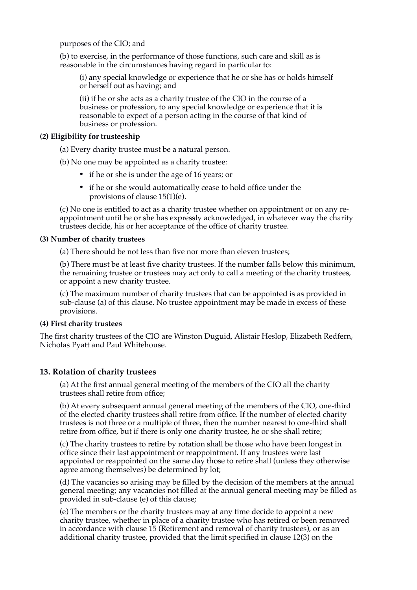purposes of the CIO; and

(b) to exercise, in the performance of those functions, such care and skill as is reasonable in the circumstances having regard in particular to:

(i) any special knowledge or experience that he or she has or holds himself or herself out as having; and

(ii) if he or she acts as a charity trustee of the CIO in the course of a business or profession, to any special knowledge or experience that it is reasonable to expect of a person acting in the course of that kind of business or profession.

### **(2) Eligibility for trusteeship**

(a) Every charity trustee must be a natural person.

(b) No one may be appointed as a charity trustee:

- if he or she is under the age of 16 years; or
- if he or she would automatically cease to hold office under the provisions of clause 15(1)(e).

(c) No one is entitled to act as a charity trustee whether on appointment or on any reappointment until he or she has expressly acknowledged, in whatever way the charity trustees decide, his or her acceptance of the office of charity trustee.

#### **(3) Number of charity trustees**

(a) There should be not less than fve nor more than eleven trustees;

(b) There must be at least fve charity trustees. If the number falls below this minimum, the remaining trustee or trustees may act only to call a meeting of the charity trustees, or appoint a new charity trustee.

(c) The maximum number of charity trustees that can be appointed is as provided in sub-clause (a) of this clause. No trustee appointment may be made in excess of these provisions.

### **(4) First charity trustees**

The frst charity trustees of the CIO are Winston Duguid, Alistair Heslop, Elizabeth Redfern, Nicholas Pyatt and Paul Whitehouse.

### **13. Rotation of charity trustees**

(a) At the frst annual general meeting of the members of the CIO all the charity trustees shall retire from office:

(b) At every subsequent annual general meeting of the members of the CIO, one-third of the elected charity trustees shall retire from offce. If the number of elected charity trustees is not three or a multiple of three, then the number nearest to one-third shall retire from office, but if there is only one charity trustee, he or she shall retire;

(c) The charity trustees to retire by rotation shall be those who have been longest in office since their last appointment or reappointment. If any trustees were last appointed or reappointed on the same day those to retire shall (unless they otherwise agree among themselves) be determined by lot;

(d) The vacancies so arising may be flled by the decision of the members at the annual general meeting; any vacancies not flled at the annual general meeting may be flled as provided in sub-clause (e) of this clause;

(e) The members or the charity trustees may at any time decide to appoint a new charity trustee, whether in place of a charity trustee who has retired or been removed in accordance with clause 15 (Retirement and removal of charity trustees), or as an additional charity trustee, provided that the limit specifed in clause 12(3) on the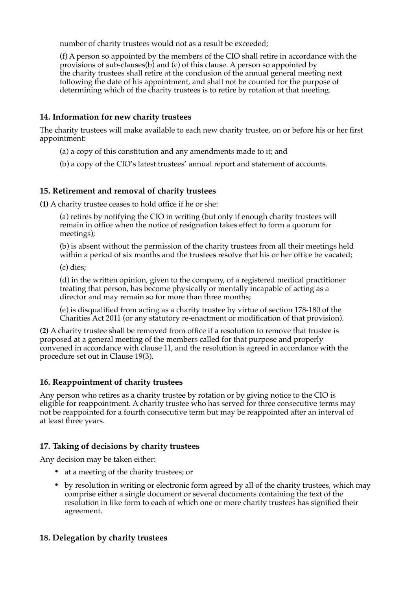number of charity trustees would not as a result be exceeded;

(f) A person so appointed by the members of the CIO shall retire in accordance with the provisions of sub-clauses(b) and (c) of this clause. A person so appointed by the charity trustees shall retire at the conclusion of the annual general meeting next following the date of his appointment, and shall not be counted for the purpose of determining which of the charity trustees is to retire by rotation at that meeting.

## **14. Information for new charity trustees**

The charity trustees will make available to each new charity trustee, on or before his or her first appointment:

- (a) a copy of this constitution and any amendments made to it; and
- (b) a copy of the CIO's latest trustees' annual report and statement of accounts.

# **15. Retirement and removal of charity trustees**

**(1)** A charity trustee ceases to hold office if he or she:

(a) retires by notifying the CIO in writing (but only if enough charity trustees will remain in office when the notice of resignation takes effect to form a quorum for meetings);

(b) is absent without the permission of the charity trustees from all their meetings held within a period of six months and the trustees resolve that his or her office be vacated;

(c) dies;

(d) in the written opinion, given to the company, of a registered medical practitioner treating that person, has become physically or mentally incapable of acting as a director and may remain so for more than three months;

(e) is disqualifed from acting as a charity trustee by virtue of section 178-180 of the Charities Act 2011 (or any statutory re-enactment or modifcation of that provision).

**(2)** A charity trustee shall be removed from offce if a resolution to remove that trustee is proposed at a general meeting of the members called for that purpose and properly convened in accordance with clause 11, and the resolution is agreed in accordance with the procedure set out in Clause 19(3).

### **16. Reappointment of charity trustees**

Any person who retires as a charity trustee by rotation or by giving notice to the CIO is eligible for reappointment. A charity trustee who has served for three consecutive terms may not be reappointed for a fourth consecutive term but may be reappointed after an interval of at least three years.

# **17. Taking of decisions by charity trustees**

Any decision may be taken either:

- at a meeting of the charity trustees; or
- by resolution in writing or electronic form agreed by all of the charity trustees, which may comprise either a single document or several documents containing the text of the resolution in like form to each of which one or more charity trustees has signifed their agreement.

# **18. Delegation by charity trustees**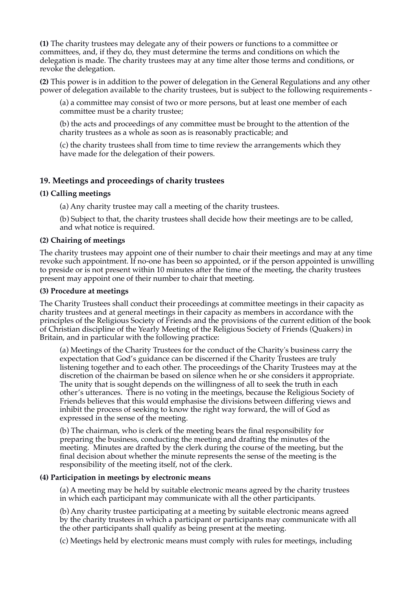**(1)** The charity trustees may delegate any of their powers or functions to a committee or committees, and, if they do, they must determine the terms and conditions on which the delegation is made. The charity trustees may at any time alter those terms and conditions, or revoke the delegation.

**(2)** This power is in addition to the power of delegation in the General Regulations and any other power of delegation available to the charity trustees, but is subject to the following requirements -

(a) a committee may consist of two or more persons, but at least one member of each committee must be a charity trustee;

(b) the acts and proceedings of any committee must be brought to the attention of the charity trustees as a whole as soon as is reasonably practicable; and

(c) the charity trustees shall from time to time review the arrangements which they have made for the delegation of their powers.

## **19. Meetings and proceedings of charity trustees**

#### **(1) Calling meetings**

(a) Any charity trustee may call a meeting of the charity trustees.

(b) Subject to that, the charity trustees shall decide how their meetings are to be called, and what notice is required.

#### **(2) Chairing of meetings**

The charity trustees may appoint one of their number to chair their meetings and may at any time revoke such appointment. If no-one has been so appointed, or if the person appointed is unwilling to preside or is not present within 10 minutes after the time of the meeting, the charity trustees present may appoint one of their number to chair that meeting.

#### **(3) Procedure at meetings**

The Charity Trustees shall conduct their proceedings at committee meetings in their capacity as charity trustees and at general meetings in their capacity as members in accordance with the principles of the Religious Society of Friends and the provisions of the current edition of the book of Christian discipline of the Yearly Meeting of the Religious Society of Friends (Quakers) in Britain, and in particular with the following practice:

(a) Meetings of the Charity Trustees for the conduct of the Charity's business carry the expectation that God's guidance can be discerned if the Charity Trustees are truly listening together and to each other. The proceedings of the Charity Trustees may at the discretion of the chairman be based on silence when he or she considers it appropriate. The unity that is sought depends on the willingness of all to seek the truth in each other's utterances. There is no voting in the meetings, because the Religious Society of Friends believes that this would emphasise the divisions between differing views and inhibit the process of seeking to know the right way forward, the will of God as expressed in the sense of the meeting.

(b) The chairman, who is clerk of the meeting bears the fnal responsibility for preparing the business, conducting the meeting and drafting the minutes of the meeting. Minutes are drafted by the clerk during the course of the meeting, but the fnal decision about whether the minute represents the sense of the meeting is the responsibility of the meeting itself, not of the clerk.

#### **(4) Participation in meetings by electronic means**

(a) A meeting may be held by suitable electronic means agreed by the charity trustees in which each participant may communicate with all the other participants.

(b) Any charity trustee participating at a meeting by suitable electronic means agreed by the charity trustees in which a participant or participants may communicate with all the other participants shall qualify as being present at the meeting.

(c) Meetings held by electronic means must comply with rules for meetings, including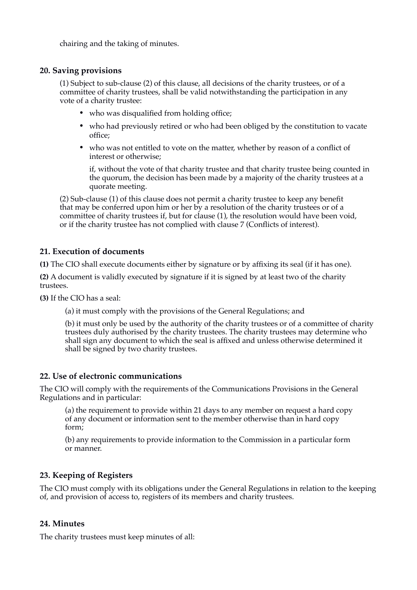chairing and the taking of minutes.

## **20. Saving provisions**

(1) Subject to sub-clause (2) of this clause, all decisions of the charity trustees, or of a committee of charity trustees, shall be valid notwithstanding the participation in any vote of a charity trustee:

- who was disqualified from holding office;
- who had previously retired or who had been obliged by the constitution to vacate office:
- who was not entitled to vote on the matter, whether by reason of a conflict of interest or otherwise;

if, without the vote of that charity trustee and that charity trustee being counted in the quorum, the decision has been made by a majority of the charity trustees at a quorate meeting.

(2) Sub-clause (1) of this clause does not permit a charity trustee to keep any beneft that may be conferred upon him or her by a resolution of the charity trustees or of a committee of charity trustees if, but for clause (1), the resolution would have been void, or if the charity trustee has not complied with clause 7 (Conficts of interest).

# **21. Execution of documents**

**(1)** The CIO shall execute documents either by signature or by affxing its seal (if it has one).

**(2)** A document is validly executed by signature if it is signed by at least two of the charity trustees.

**(3)** If the CIO has a seal:

(a) it must comply with the provisions of the General Regulations; and

(b) it must only be used by the authority of the charity trustees or of a committee of charity trustees duly authorised by the charity trustees. The charity trustees may determine who shall sign any document to which the seal is affxed and unless otherwise determined it shall be signed by two charity trustees.

### **22. Use of electronic communications**

The CIO will comply with the requirements of the Communications Provisions in the General Regulations and in particular:

(a) the requirement to provide within 21 days to any member on request a hard copy of any document or information sent to the member otherwise than in hard copy form;

(b) any requirements to provide information to the Commission in a particular form or manner.

# **23. Keeping of Registers**

The CIO must comply with its obligations under the General Regulations in relation to the keeping of, and provision of access to, registers of its members and charity trustees.

# **24. Minutes**

The charity trustees must keep minutes of all: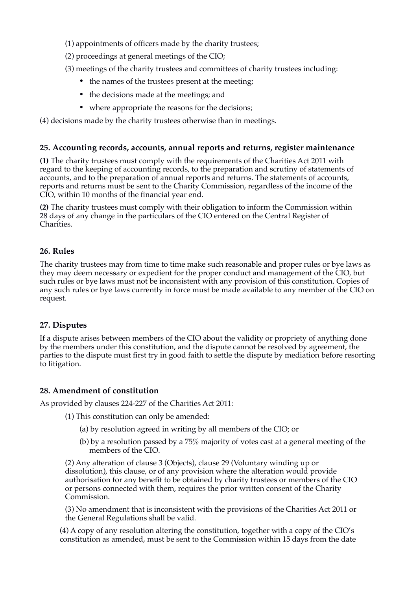- (1) appointments of officers made by the charity trustees;
- (2) proceedings at general meetings of the CIO;
- (3) meetings of the charity trustees and committees of charity trustees including:
	- the names of the trustees present at the meeting;
	- the decisions made at the meetings; and
	- where appropriate the reasons for the decisions;

(4) decisions made by the charity trustees otherwise than in meetings.

### **25. Accounting records, accounts, annual reports and returns, register maintenance**

**(1)** The charity trustees must comply with the requirements of the Charities Act 2011 with regard to the keeping of accounting records, to the preparation and scrutiny of statements of accounts, and to the preparation of annual reports and returns. The statements of accounts, reports and returns must be sent to the Charity Commission, regardless of the income of the CIO, within 10 months of the fnancial year end.

**(2)** The charity trustees must comply with their obligation to inform the Commission within 28 days of any change in the particulars of the CIO entered on the Central Register of Charities.

# **26. Rules**

The charity trustees may from time to time make such reasonable and proper rules or bye laws as they may deem necessary or expedient for the proper conduct and management of the CIO, but such rules or bye laws must not be inconsistent with any provision of this constitution. Copies of any such rules or bye laws currently in force must be made available to any member of the CIO on request.

# **27. Disputes**

If a dispute arises between members of the CIO about the validity or propriety of anything done by the members under this constitution, and the dispute cannot be resolved by agreement, the parties to the dispute must frst try in good faith to settle the dispute by mediation before resorting to litigation.

# **28. Amendment of constitution**

As provided by clauses 224-227 of the Charities Act 2011:

- (1) This constitution can only be amended:
	- (a) by resolution agreed in writing by all members of the CIO; or
	- (b) by a resolution passed by a 75% majority of votes cast at a general meeting of the members of the CIO.

(2) Any alteration of clause 3 (Objects), clause 29 (Voluntary winding up or dissolution), this clause, or of any provision where the alteration would provide authorisation for any beneft to be obtained by charity trustees or members of the CIO or persons connected with them, requires the prior written consent of the Charity Commission.

(3) No amendment that is inconsistent with the provisions of the Charities Act 2011 or the General Regulations shall be valid.

(4) A copy of any resolution altering the constitution, together with a copy of the CIO's constitution as amended, must be sent to the Commission within 15 days from the date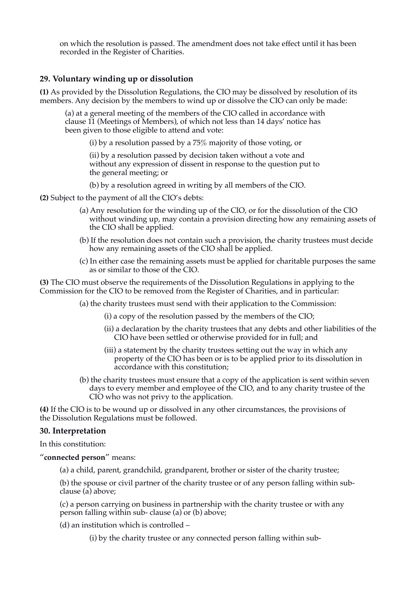on which the resolution is passed. The amendment does not take effect until it has been recorded in the Register of Charities.

# **29. Voluntary winding up or dissolution**

**(1)** As provided by the Dissolution Regulations, the CIO may be dissolved by resolution of its members. Any decision by the members to wind up or dissolve the CIO can only be made:

(a) at a general meeting of the members of the CIO called in accordance with clause 11 (Meetings of Members), of which not less than 14 days' notice has been given to those eligible to attend and vote:

(i) by a resolution passed by a 75% majority of those voting, or

(ii) by a resolution passed by decision taken without a vote and without any expression of dissent in response to the question put to the general meeting; or

(b) by a resolution agreed in writing by all members of the CIO.

**(2)** Subject to the payment of all the CIO's debts:

- (a) Any resolution for the winding up of the CIO, or for the dissolution of the CIO without winding up, may contain a provision directing how any remaining assets of the CIO shall be applied.
- (b) If the resolution does not contain such a provision, the charity trustees must decide how any remaining assets of the CIO shall be applied.
- (c) In either case the remaining assets must be applied for charitable purposes the same as or similar to those of the CIO.

**(3)** The CIO must observe the requirements of the Dissolution Regulations in applying to the Commission for the CIO to be removed from the Register of Charities, and in particular:

(a) the charity trustees must send with their application to the Commission:

- (i) a copy of the resolution passed by the members of the CIO;
- (ii) a declaration by the charity trustees that any debts and other liabilities of the CIO have been settled or otherwise provided for in full; and
- (iii) a statement by the charity trustees setting out the way in which any property of the CIO has been or is to be applied prior to its dissolution in accordance with this constitution;
- (b) the charity trustees must ensure that a copy of the application is sent within seven days to every member and employee of the CIO, and to any charity trustee of the CIO who was not privy to the application.

**(4)** If the CIO is to be wound up or dissolved in any other circumstances, the provisions of the Dissolution Regulations must be followed.

### **30. Interpretation**

In this constitution:

"**connected person**" means:

(a) a child, parent, grandchild, grandparent, brother or sister of the charity trustee;

(b) the spouse or civil partner of the charity trustee or of any person falling within subclause (a) above;

(c) a person carrying on business in partnership with the charity trustee or with any person falling within sub- clause (a) or (b) above;

(d) an institution which is controlled –

(i) by the charity trustee or any connected person falling within sub-